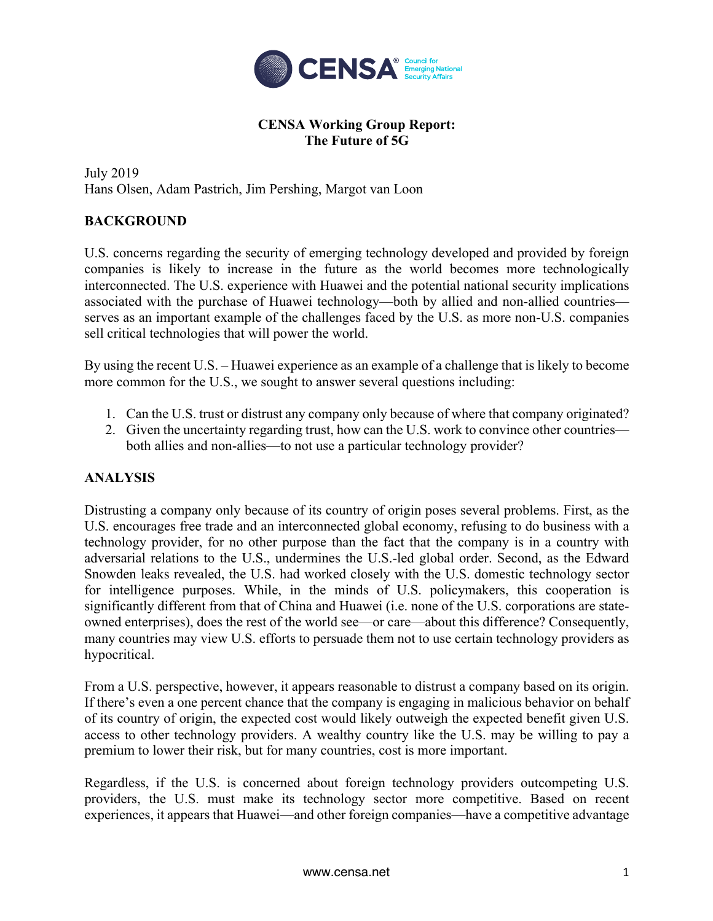

## **CENSA Working Group Report: The Future of 5G**

July 2019 Hans Olsen, Adam Pastrich, Jim Pershing, Margot van Loon

## **BACKGROUND**

U.S. concerns regarding the security of emerging technology developed and provided by foreign companies is likely to increase in the future as the world becomes more technologically interconnected. The U.S. experience with Huawei and the potential national security implications associated with the purchase of Huawei technology—both by allied and non-allied countries serves as an important example of the challenges faced by the U.S. as more non-U.S. companies sell critical technologies that will power the world.

By using the recent U.S. – Huawei experience as an example of a challenge that is likely to become more common for the U.S., we sought to answer several questions including:

- 1. Can the U.S. trust or distrust any company only because of where that company originated?
- 2. Given the uncertainty regarding trust, how can the U.S. work to convince other countries both allies and non-allies—to not use a particular technology provider?

## **ANALYSIS**

Distrusting a company only because of its country of origin poses several problems. First, as the U.S. encourages free trade and an interconnected global economy, refusing to do business with a technology provider, for no other purpose than the fact that the company is in a country with adversarial relations to the U.S., undermines the U.S.-led global order. Second, as the Edward Snowden leaks revealed, the U.S. had worked closely with the U.S. domestic technology sector for intelligence purposes. While, in the minds of U.S. policymakers, this cooperation is significantly different from that of China and Huawei (i.e. none of the U.S. corporations are stateowned enterprises), does the rest of the world see—or care—about this difference? Consequently, many countries may view U.S. efforts to persuade them not to use certain technology providers as hypocritical.

From a U.S. perspective, however, it appears reasonable to distrust a company based on its origin. If there's even a one percent chance that the company is engaging in malicious behavior on behalf of its country of origin, the expected cost would likely outweigh the expected benefit given U.S. access to other technology providers. A wealthy country like the U.S. may be willing to pay a premium to lower their risk, but for many countries, cost is more important.

Regardless, if the U.S. is concerned about foreign technology providers outcompeting U.S. providers, the U.S. must make its technology sector more competitive. Based on recent experiences, it appears that Huawei—and other foreign companies—have a competitive advantage